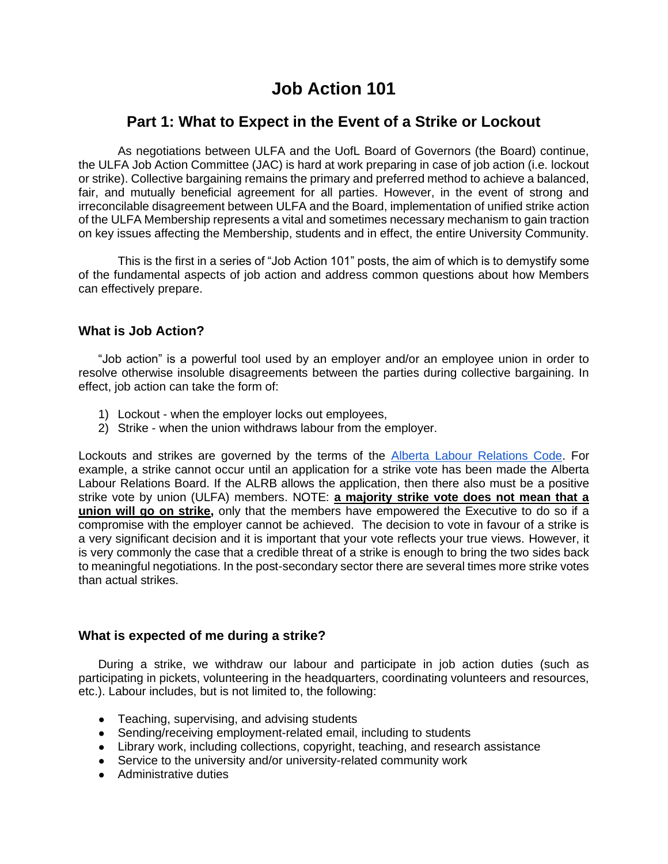# **Job Action 101**

# **Part 1: What to Expect in the Event of a Strike or Lockout**

As negotiations between ULFA and the UofL Board of Governors (the Board) continue, the ULFA Job Action Committee (JAC) is hard at work preparing in case of job action (i.e. lockout or strike). Collective bargaining remains the primary and preferred method to achieve a balanced, fair, and mutually beneficial agreement for all parties. However, in the event of strong and irreconcilable disagreement between ULFA and the Board, implementation of unified strike action of the ULFA Membership represents a vital and sometimes necessary mechanism to gain traction on key issues affecting the Membership, students and in effect, the entire University Community.

This is the first in a series of "Job Action 101" posts, the aim of which is to demystify some of the fundamental aspects of job action and address common questions about how Members can effectively prepare.

## **What is Job Action?**

"Job action" is a powerful tool used by an employer and/or an employee union in order to resolve otherwise insoluble disagreements between the parties during collective bargaining. In effect, job action can take the form of:

- 1) Lockout when the employer locks out employees,
- 2) Strike when the union withdraws labour from the employer.

Lockouts and strikes are governed by the terms of the **Alberta Labour Relations Code**. For example, a strike cannot occur until an application for a strike vote has been made the Alberta Labour Relations Board. If the ALRB allows the application, then there also must be a positive strike vote by union (ULFA) members. NOTE: **a majority strike vote does not mean that a union will go on strike,** only that the members have empowered the Executive to do so if a compromise with the employer cannot be achieved. The decision to vote in favour of a strike is a very significant decision and it is important that your vote reflects your true views. However, it is very commonly the case that a credible threat of a strike is enough to bring the two sides back to meaningful negotiations. In the post-secondary sector there are several times more strike votes than actual strikes.

### **What is expected of me during a strike?**

During a strike, we withdraw our labour and participate in job action duties (such as participating in pickets, volunteering in the headquarters, coordinating volunteers and resources, etc.). Labour includes, but is not limited to, the following:

- Teaching, supervising, and advising students
- Sending/receiving employment-related email, including to students
- Library work, including collections, copyright, teaching, and research assistance
- Service to the university and/or university-related community work
- Administrative duties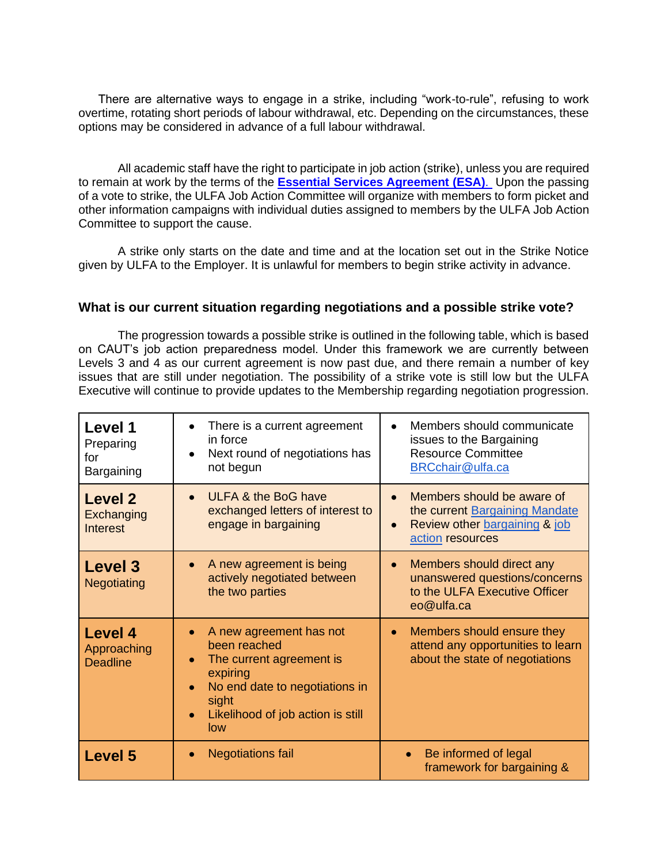There are alternative ways to engage in a strike, including "work-to-rule", refusing to work overtime, rotating short periods of labour withdrawal, etc. Depending on the circumstances, these options may be considered in advance of a full labour withdrawal.

All academic staff have the right to participate in job action (strike), unless you are required to remain at work by the terms of the **[Essential Services Agreement](../Desktop/ESA_2019_Signed.docx) (ESA)**. Upon the passing of a vote to strike, the ULFA Job Action Committee will organize with members to form picket and other information campaigns with individual duties assigned to members by the ULFA Job Action Committee to support the cause.

A strike only starts on the date and time and at the location set out in the Strike Notice given by ULFA to the Employer. It is unlawful for members to begin strike activity in advance.

#### **What is our current situation regarding negotiations and a possible strike vote?**

The progression towards a possible strike is outlined in the following table, which is based on CAUT's job action preparedness model. Under this framework we are currently between Levels 3 and 4 as our current agreement is now past due, and there remain a number of key issues that are still under negotiation. The possibility of a strike vote is still low but the ULFA Executive will continue to provide updates to the Membership regarding negotiation progression.

| Level 1<br>Preparing<br>for<br>Bargaining        | There is a current agreement<br>$\bullet$<br>in force<br>Next round of negotiations has<br>$\bullet$<br>not begun                                                                                             | Members should communicate<br>issues to the Bargaining<br><b>Resource Committee</b><br>BRCchair@ulfa.ca                        |
|--------------------------------------------------|---------------------------------------------------------------------------------------------------------------------------------------------------------------------------------------------------------------|--------------------------------------------------------------------------------------------------------------------------------|
| <b>Level 2</b><br>Exchanging<br><b>Interest</b>  | <b>ULFA &amp; the BoG have</b><br>exchanged letters of interest to<br>engage in bargaining                                                                                                                    | Members should be aware of<br>the current Bargaining Mandate<br>Review other bargaining & job<br>$\bullet$<br>action resources |
| <b>Level 3</b><br><b>Negotiating</b>             | A new agreement is being<br>$\bullet$<br>actively negotiated between<br>the two parties                                                                                                                       | Members should direct any<br>$\bullet$<br>unanswered questions/concerns<br>to the ULFA Executive Officer<br>eo@ulfa.ca         |
| <b>Level 4</b><br>Approaching<br><b>Deadline</b> | A new agreement has not<br>$\bullet$<br>been reached<br>The current agreement is<br>$\bullet$<br>expiring<br>No end date to negotiations in<br>sight<br>Likelihood of job action is still<br>$\bullet$<br>low | Members should ensure they<br>$\bullet$<br>attend any opportunities to learn<br>about the state of negotiations                |
| <b>Level 5</b>                                   | <b>Negotiations fail</b>                                                                                                                                                                                      | Be informed of legal<br>framework for bargaining &                                                                             |